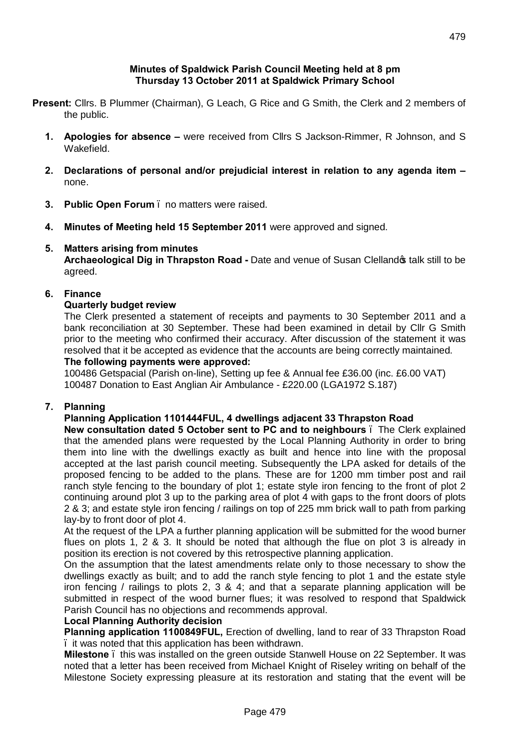#### **Minutes of Spaldwick Parish Council Meeting held at 8 pm Thursday 13 October 2011 at Spaldwick Primary School**

- **Present:** Cllrs. B Plummer (Chairman), G Leach, G Rice and G Smith, the Clerk and 2 members of the public.
	- **1. Apologies for absence –** were received from Cllrs S Jackson-Rimmer, R Johnson, and S Wakefield.
	- **2. Declarations of personal and/or prejudicial interest in relation to any agenda item –** none.
	- **3. Public Open Forum** no matters were raised.
	- **4. Minutes of Meeting held 15 September 2011** were approved and signed.

## **5. Matters arising from minutes**

**Archaeological Dig in Thrapston Road -** Date and venue of Susan Clelland's talk still to be agreed.

### **6. Finance**

#### **Quarterly budget review**

The Clerk presented a statement of receipts and payments to 30 September 2011 and a bank reconciliation at 30 September. These had been examined in detail by Cllr G Smith prior to the meeting who confirmed their accuracy. After discussion of the statement it was resolved that it be accepted as evidence that the accounts are being correctly maintained.

#### **The following payments were approved:**

100486 Getspacial (Parish on-line), Setting up fee & Annual fee £36.00 (inc. £6.00 VAT) 100487 Donation to East Anglian Air Ambulance - £220.00 (LGA1972 S.187)

# **7. Planning**

## **Planning Application 1101444FUL, 4 dwellings adjacent 33 Thrapston Road**

**New consultation dated 5 October sent to PC and to neighbours** – The Clerk explained that the amended plans were requested by the Local Planning Authority in order to bring them into line with the dwellings exactly as built and hence into line with the proposal accepted at the last parish council meeting. Subsequently the LPA asked for details of the proposed fencing to be added to the plans. These are for 1200 mm timber post and rail ranch style fencing to the boundary of plot 1; estate style iron fencing to the front of plot 2 continuing around plot 3 up to the parking area of plot 4 with gaps to the front doors of plots 2 & 3; and estate style iron fencing / railings on top of 225 mm brick wall to path from parking lay-by to front door of plot 4.

At the request of the LPA a further planning application will be submitted for the wood burner flues on plots 1, 2 & 3. It should be noted that although the flue on plot 3 is already in position its erection is not covered by this retrospective planning application.

On the assumption that the latest amendments relate only to those necessary to show the dwellings exactly as built; and to add the ranch style fencing to plot 1 and the estate style iron fencing / railings to plots 2, 3 & 4; and that a separate planning application will be submitted in respect of the wood burner flues; it was resolved to respond that Spaldwick Parish Council has no objections and recommends approval.

#### **Local Planning Authority decision**

**Planning application 1100849FUL,** Erection of dwelling, land to rear of 33 Thrapston Road – it was noted that this application has been withdrawn.

**Milestone** – this was installed on the green outside Stanwell House on 22 September. It was noted that a letter has been received from Michael Knight of Riseley writing on behalf of the Milestone Society expressing pleasure at its restoration and stating that the event will be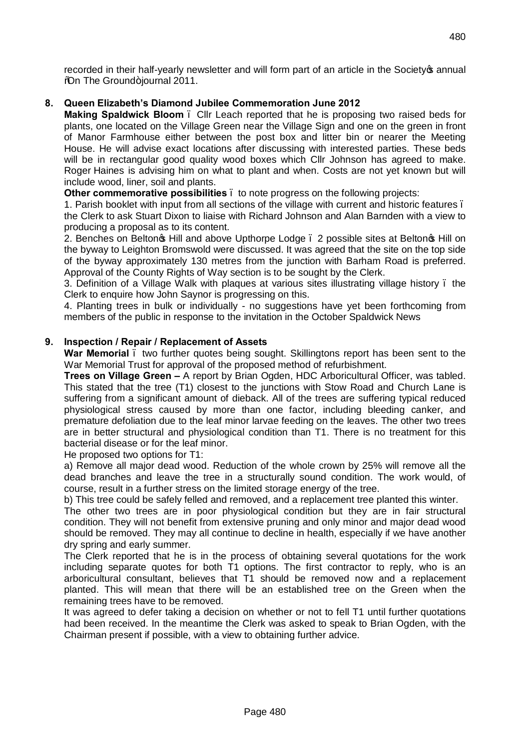recorded in their half-yearly newsletter and will form part of an article in the Society of annual **%Don The Ground+journal 2011.** 

### **8. Queen Elizabeth's Diamond Jubilee Commemoration June 2012**

**Making Spaldwick Bloom** – Cllr Leach reported that he is proposing two raised beds for plants, one located on the Village Green near the Village Sign and one on the green in front of Manor Farmhouse either between the post box and litter bin or nearer the Meeting House. He will advise exact locations after discussing with interested parties. These beds will be in rectangular good quality wood boxes which Cllr Johnson has agreed to make. Roger Haines is advising him on what to plant and when. Costs are not yet known but will include wood, liner, soil and plants.

**Other commemorative possibilities** – to note progress on the following projects:

1. Parish booklet with input from all sections of the village with current and historic features –

the Clerk to ask Stuart Dixon to liaise with Richard Johnson and Alan Barnden with a view to producing a proposal as to its content.

2. Benches on Belton & Hill and above Upthorpe Lodge . 2 possible sites at Belton & Hill on the byway to Leighton Bromswold were discussed. It was agreed that the site on the top side of the byway approximately 130 metres from the junction with Barham Road is preferred. Approval of the County Rights of Way section is to be sought by the Clerk.

3. Definition of a Village Walk with plaques at various sites illustrating village history – the Clerk to enquire how John Saynor is progressing on this.

4. Planting trees in bulk or individually - no suggestions have yet been forthcoming from members of the public in response to the invitation in the October Spaldwick News

#### **9. Inspection / Repair / Replacement of Assets**

War Memorial . two further quotes being sought. Skillingtons report has been sent to the War Memorial Trust for approval of the proposed method of refurbishment.

**Trees on Village Green –** A report by Brian Ogden, HDC Arboricultural Officer, was tabled. This stated that the tree (T1) closest to the junctions with Stow Road and Church Lane is suffering from a significant amount of dieback. All of the trees are suffering typical reduced physiological stress caused by more than one factor, including bleeding canker, and premature defoliation due to the leaf minor larvae feeding on the leaves. The other two trees are in better structural and physiological condition than T1. There is no treatment for this bacterial disease or for the leaf minor.

He proposed two options for T1:

a) Remove all major dead wood. Reduction of the whole crown by 25% will remove all the dead branches and leave the tree in a structurally sound condition. The work would, of course, result in a further stress on the limited storage energy of the tree.

b) This tree could be safely felled and removed, and a replacement tree planted this winter.

The other two trees are in poor physiological condition but they are in fair structural condition. They will not benefit from extensive pruning and only minor and major dead wood should be removed. They may all continue to decline in health, especially if we have another dry spring and early summer.

The Clerk reported that he is in the process of obtaining several quotations for the work including separate quotes for both T1 options. The first contractor to reply, who is an arboricultural consultant, believes that T1 should be removed now and a replacement planted. This will mean that there will be an established tree on the Green when the remaining trees have to be removed.

It was agreed to defer taking a decision on whether or not to fell T1 until further quotations had been received. In the meantime the Clerk was asked to speak to Brian Ogden, with the Chairman present if possible, with a view to obtaining further advice.